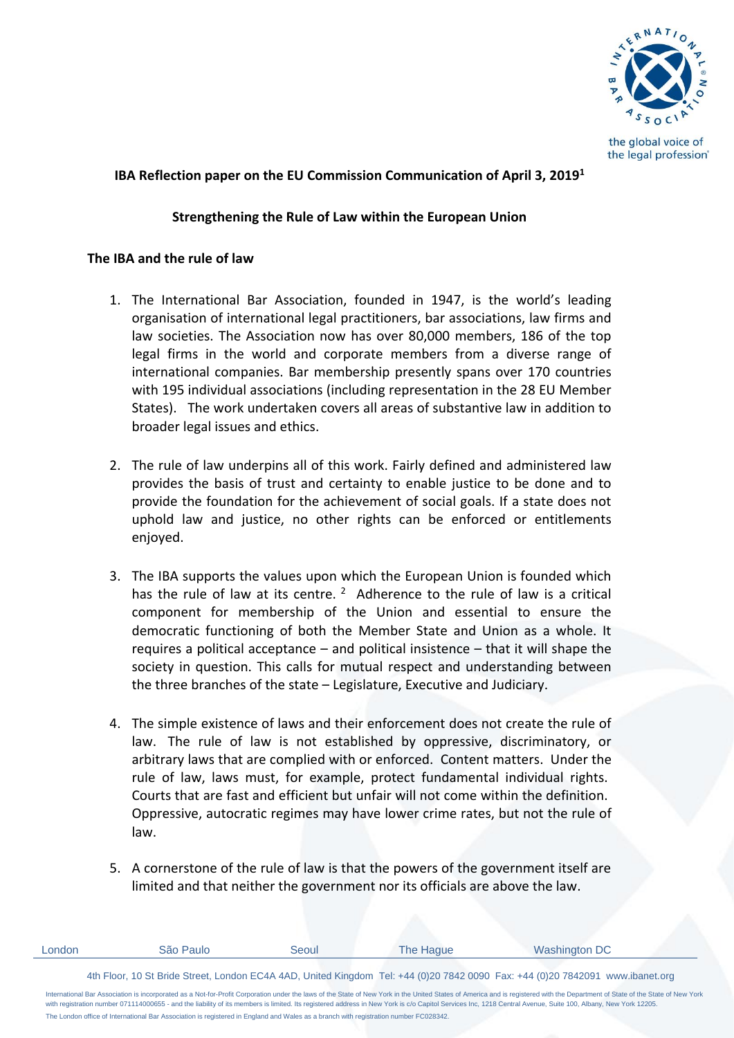

the global voice of the legal profession®

## **IBA Reflection paper on the EU Commission Communication of April 3, 2019<sup>1</sup>**

## **Strengthening the Rule of Law within the European Union**

## **The IBA and the rule of law**

- 1. The International Bar Association, founded in 1947, is the world's leading organisation of international legal practitioners, bar associations, law firms and law societies. The Association now has over 80,000 members, 186 of the top legal firms in the world and corporate members from a diverse range of international companies. Bar membership presently spans over 170 countries with 195 individual associations (including representation in the 28 EU Member States). The work undertaken covers all areas of substantive law in addition to broader legal issues and ethics.
- 2. The rule of law underpins all of this work. Fairly defined and administered law provides the basis of trust and certainty to enable justice to be done and to provide the foundation for the achievement of social goals. If a state does not uphold law and justice, no other rights can be enforced or entitlements enjoyed.
- 3. The IBA supports the values upon which the European Union is founded which has the rule of law at its centre.  $2$  Adherence to the rule of law is a critical component for membership of the Union and essential to ensure the democratic functioning of both the Member State and Union as a whole. It requires a political acceptance – and political insistence – that it will shape the society in question. This calls for mutual respect and understanding between the three branches of the state – Legislature, Executive and Judiciary.
- 4. The simple existence of laws and their enforcement does not create the rule of law. The rule of law is not established by oppressive, discriminatory, or arbitrary laws that are complied with or enforced. Content matters. Under the rule of law, laws must, for example, protect fundamental individual rights. Courts that are fast and efficient but unfair will not come within the definition. Oppressive, autocratic regimes may have lower crime rates, but not the rule of law.
- 5. A cornerstone of the rule of law is that the powers of the government itself are limited and that neither the government nor its officials are above the law.

| London                                                                                                                                                                                                                                                                                                                                                                                                                                        | São Paulo | Seoul | The Haque | Washington DC                                                                                                                 |
|-----------------------------------------------------------------------------------------------------------------------------------------------------------------------------------------------------------------------------------------------------------------------------------------------------------------------------------------------------------------------------------------------------------------------------------------------|-----------|-------|-----------|-------------------------------------------------------------------------------------------------------------------------------|
|                                                                                                                                                                                                                                                                                                                                                                                                                                               |           |       |           | 4th Floor, 10 St Bride Street, London EC4A 4AD, United Kingdom Tel: +44 (0)20 7842 0090 Fax: +44 (0)20 7842091 www.ibanet.org |
| International Bar Association is incorporated as a Not-for-Profit Corporation under the laws of the State of New York in the United States of America and is registered with the Department of State of the State of New York<br>with registration number 071114000655 - and the liability of its members is limited. Its registered address in New York is c/o Capitol Services Inc. 1218 Central Avenue, Suite 100, Albany, New York 12205. |           |       |           |                                                                                                                               |

The London office of International Bar Association is registered in England and Wales as a branch with registration number FC028342.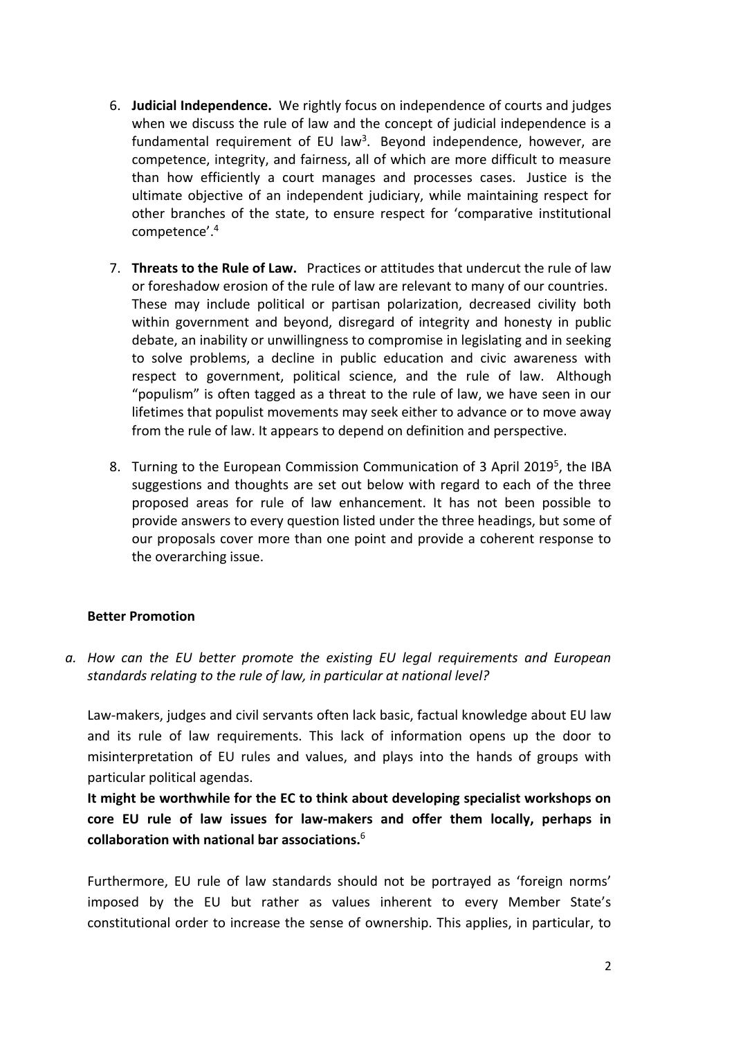- 6. **Judicial Independence.** We rightly focus on independence of courts and judges when we discuss the rule of law and the concept of judicial independence is a fundamental requirement of EU law<sup>3</sup>. Beyond independence, however, are competence, integrity, and fairness, all of which are more difficult to measure than how efficiently a court manages and processes cases. Justice is the ultimate objective of an independent judiciary, while maintaining respect for other branches of the state, to ensure respect for 'comparative institutional competence'.<sup>4</sup>
- 7. **Threats to the Rule of Law.** Practices or attitudes that undercut the rule of law or foreshadow erosion of the rule of law are relevant to many of our countries. These may include political or partisan polarization, decreased civility both within government and beyond, disregard of integrity and honesty in public debate, an inability or unwillingness to compromise in legislating and in seeking to solve problems, a decline in public education and civic awareness with respect to government, political science, and the rule of law. Although "populism" is often tagged as a threat to the rule of law, we have seen in our lifetimes that populist movements may seek either to advance or to move away from the rule of law. It appears to depend on definition and perspective.
- 8. Turning to the European Commission Communication of 3 April 2019<sup>5</sup>, the IBA suggestions and thoughts are set out below with regard to each of the three proposed areas for rule of law enhancement. It has not been possible to provide answers to every question listed under the three headings, but some of our proposals cover more than one point and provide a coherent response to the overarching issue.

## **Better Promotion**

*a. How can the EU better promote the existing EU legal requirements and European standards relating to the rule of law, in particular at national level?* 

Law-makers, judges and civil servants often lack basic, factual knowledge about EU law and its rule of law requirements. This lack of information opens up the door to misinterpretation of EU rules and values, and plays into the hands of groups with particular political agendas.

**It might be worthwhile for the EC to think about developing specialist workshops on core EU rule of law issues for law-makers and offer them locally, perhaps in collaboration with national bar associations.**<sup>6</sup>

Furthermore, EU rule of law standards should not be portrayed as 'foreign norms' imposed by the EU but rather as values inherent to every Member State's constitutional order to increase the sense of ownership. This applies, in particular, to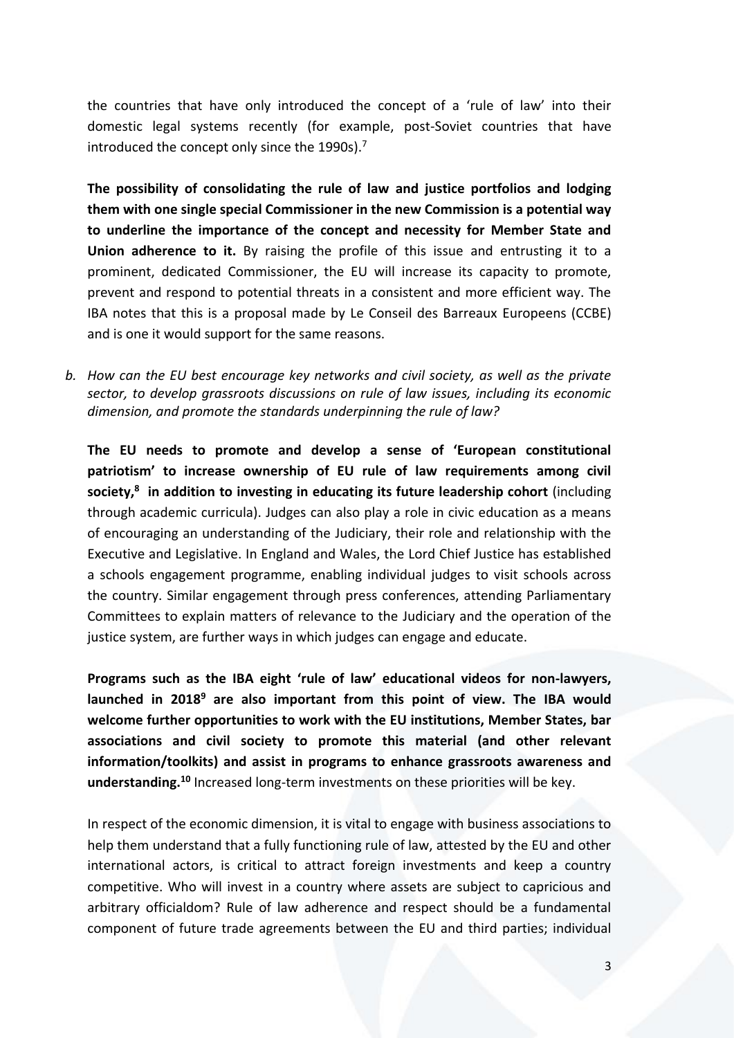the countries that have only introduced the concept of a 'rule of law' into their domestic legal systems recently (for example, post-Soviet countries that have introduced the concept only since the 1990s).<sup>7</sup>

**The possibility of consolidating the rule of law and justice portfolios and lodging them with one single special Commissioner in the new Commission is a potential way to underline the importance of the concept and necessity for Member State and Union adherence to it.** By raising the profile of this issue and entrusting it to a prominent, dedicated Commissioner, the EU will increase its capacity to promote, prevent and respond to potential threats in a consistent and more efficient way. The IBA notes that this is a proposal made by Le Conseil des Barreaux Europeens (CCBE) and is one it would support for the same reasons.

*b. How can the EU best encourage key networks and civil society, as well as the private sector, to develop grassroots discussions on rule of law issues, including its economic dimension, and promote the standards underpinning the rule of law?*

**The EU needs to promote and develop a sense of 'European constitutional patriotism' to increase ownership of EU rule of law requirements among civil society,<sup>8</sup> in addition to investing in educating its future leadership cohort** (including through academic curricula). Judges can also play a role in civic education as a means of encouraging an understanding of the Judiciary, their role and relationship with the Executive and Legislative. In England and Wales, the Lord Chief Justice has established a schools engagement programme, enabling individual judges to visit schools across the country. Similar engagement through press conferences, attending Parliamentary Committees to explain matters of relevance to the Judiciary and the operation of the justice system, are further ways in which judges can engage and educate.

**Programs such as the IBA eight 'rule of law' educational videos for non-lawyers, launched in 2018<sup>9</sup> are also important from this point of view. The IBA would welcome further opportunities to work with the EU institutions, Member States, bar associations and civil society to promote this material (and other relevant information/toolkits) and assist in programs to enhance grassroots awareness and understanding.<sup>10</sup>** Increased long-term investments on these priorities will be key.

In respect of the economic dimension, it is vital to engage with business associations to help them understand that a fully functioning rule of law, attested by the EU and other international actors, is critical to attract foreign investments and keep a country competitive. Who will invest in a country where assets are subject to capricious and arbitrary officialdom? Rule of law adherence and respect should be a fundamental component of future trade agreements between the EU and third parties; individual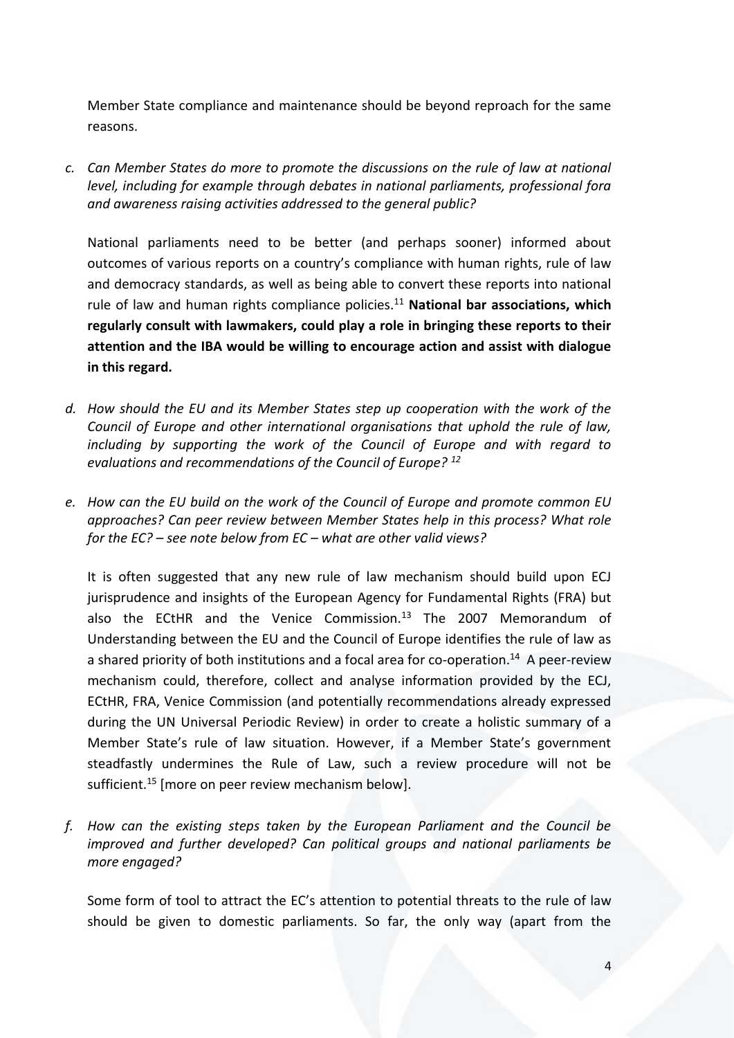Member State compliance and maintenance should be beyond reproach for the same reasons.

*c. Can Member States do more to promote the discussions on the rule of law at national level, including for example through debates in national parliaments, professional fora and awareness raising activities addressed to the general public?* 

National parliaments need to be better (and perhaps sooner) informed about outcomes of various reports on a country's compliance with human rights, rule of law and democracy standards, as well as being able to convert these reports into national rule of law and human rights compliance policies.<sup>11</sup> **National bar associations, which regularly consult with lawmakers, could play a role in bringing these reports to their attention and the IBA would be willing to encourage action and assist with dialogue in this regard.** 

- *d. How should the EU and its Member States step up cooperation with the work of the Council of Europe and other international organisations that uphold the rule of law, including by supporting the work of the Council of Europe and with regard to evaluations and recommendations of the Council of Europe? <sup>12</sup>*
- *e. How can the EU build on the work of the Council of Europe and promote common EU approaches? Can peer review between Member States help in this process? What role for the EC? – see note below from EC – what are other valid views?*

It is often suggested that any new rule of law mechanism should build upon ECJ jurisprudence and insights of the European Agency for Fundamental Rights (FRA) but also the ECtHR and the Venice Commission.<sup>13</sup> The 2007 Memorandum of Understanding between the EU and the Council of Europe identifies the rule of law as a shared priority of both institutions and a focal area for co-operation.<sup>14</sup> A peer-review mechanism could, therefore, collect and analyse information provided by the ECJ, ECtHR, FRA, Venice Commission (and potentially recommendations already expressed during the UN Universal Periodic Review) in order to create a holistic summary of a Member State's rule of law situation. However, if a Member State's government steadfastly undermines the Rule of Law, such a review procedure will not be sufficient.<sup>15</sup> [more on peer review mechanism below].

*f. How can the existing steps taken by the European Parliament and the Council be improved and further developed? Can political groups and national parliaments be more engaged?*

Some form of tool to attract the EC's attention to potential threats to the rule of law should be given to domestic parliaments. So far, the only way (apart from the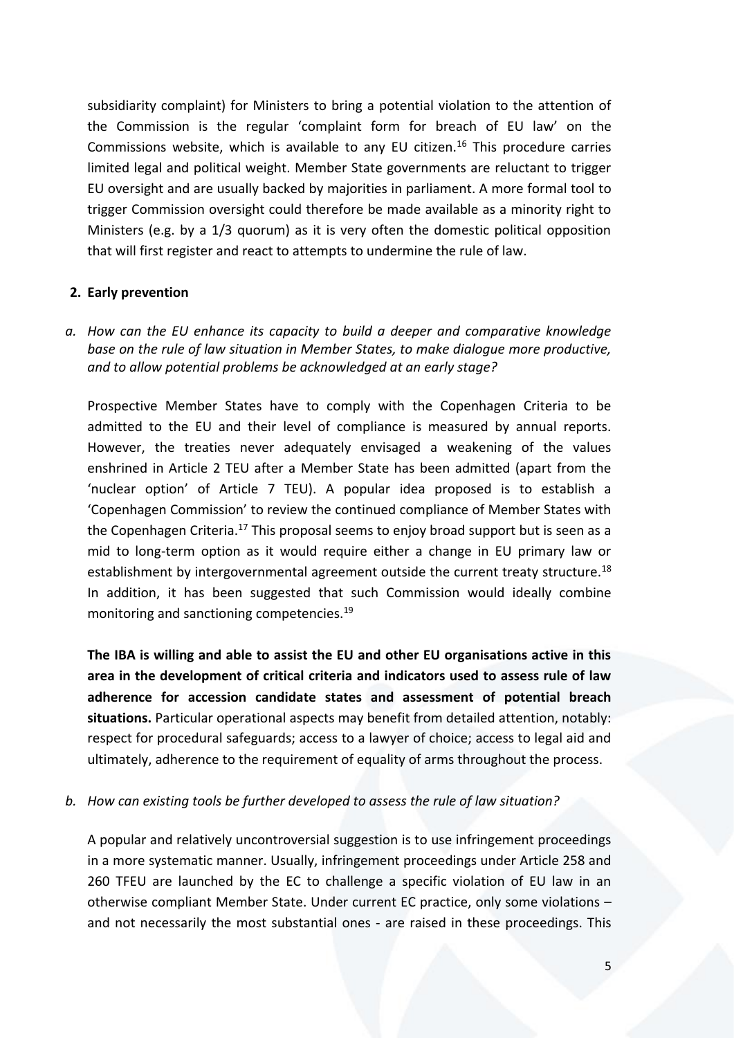subsidiarity complaint) for Ministers to bring a potential violation to the attention of the Commission is the regular 'complaint form for breach of EU law' on the Commissions website, which is available to any EU citizen.<sup>16</sup> This procedure carries limited legal and political weight. Member State governments are reluctant to trigger EU oversight and are usually backed by majorities in parliament. A more formal tool to trigger Commission oversight could therefore be made available as a minority right to Ministers (e.g. by a 1/3 quorum) as it is very often the domestic political opposition that will first register and react to attempts to undermine the rule of law.

#### **2. Early prevention**

*a. How can the EU enhance its capacity to build a deeper and comparative knowledge base on the rule of law situation in Member States, to make dialogue more productive, and to allow potential problems be acknowledged at an early stage?*

Prospective Member States have to comply with the Copenhagen Criteria to be admitted to the EU and their level of compliance is measured by annual reports. However, the treaties never adequately envisaged a weakening of the values enshrined in Article 2 TEU after a Member State has been admitted (apart from the 'nuclear option' of Article 7 TEU). A popular idea proposed is to establish a 'Copenhagen Commission' to review the continued compliance of Member States with the Copenhagen Criteria.<sup>17</sup> This proposal seems to enjoy broad support but is seen as a mid to long-term option as it would require either a change in EU primary law or establishment by intergovernmental agreement outside the current treaty structure.<sup>18</sup> In addition, it has been suggested that such Commission would ideally combine monitoring and sanctioning competencies.<sup>19</sup>

**The IBA is willing and able to assist the EU and other EU organisations active in this area in the development of critical criteria and indicators used to assess rule of law adherence for accession candidate states and assessment of potential breach situations.** Particular operational aspects may benefit from detailed attention, notably: respect for procedural safeguards; access to a lawyer of choice; access to legal aid and ultimately, adherence to the requirement of equality of arms throughout the process.

#### *b. How can existing tools be further developed to assess the rule of law situation?*

A popular and relatively uncontroversial suggestion is to use infringement proceedings in a more systematic manner. Usually, infringement proceedings under Article 258 and 260 TFEU are launched by the EC to challenge a specific violation of EU law in an otherwise compliant Member State. Under current EC practice, only some violations – and not necessarily the most substantial ones - are raised in these proceedings. This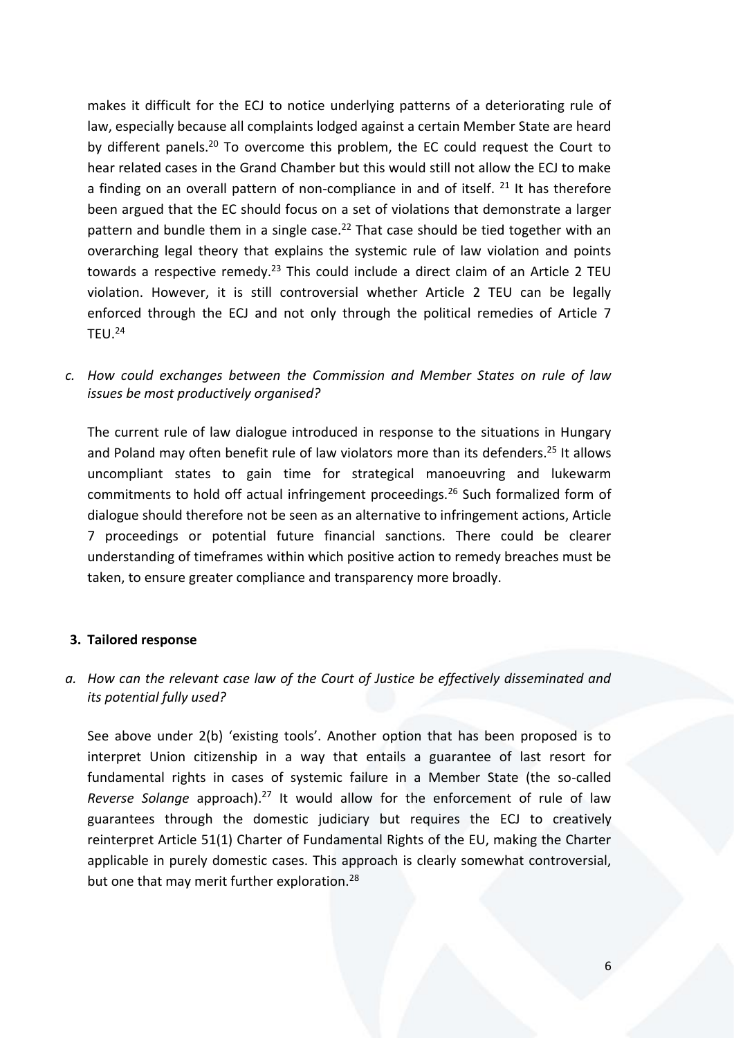makes it difficult for the ECJ to notice underlying patterns of a deteriorating rule of law, especially because all complaints lodged against a certain Member State are heard by different panels.<sup>20</sup> To overcome this problem, the EC could request the Court to hear related cases in the Grand Chamber but this would still not allow the ECJ to make a finding on an overall pattern of non-compliance in and of itself.  $21$  It has therefore been argued that the EC should focus on a set of violations that demonstrate a larger pattern and bundle them in a single case.<sup>22</sup> That case should be tied together with an overarching legal theory that explains the systemic rule of law violation and points towards a respective remedy.<sup>23</sup> This could include a direct claim of an Article 2 TEU violation. However, it is still controversial whether Article 2 TEU can be legally enforced through the ECJ and not only through the political remedies of Article 7  $TEU.<sup>24</sup>$ 

*c. How could exchanges between the Commission and Member States on rule of law issues be most productively organised?*

The current rule of law dialogue introduced in response to the situations in Hungary and Poland may often benefit rule of law violators more than its defenders.<sup>25</sup> It allows uncompliant states to gain time for strategical manoeuvring and lukewarm commitments to hold off actual infringement proceedings.<sup>26</sup> Such formalized form of dialogue should therefore not be seen as an alternative to infringement actions, Article 7 proceedings or potential future financial sanctions. There could be clearer understanding of timeframes within which positive action to remedy breaches must be taken, to ensure greater compliance and transparency more broadly.

#### **3. Tailored response**

## *a. How can the relevant case law of the Court of Justice be effectively disseminated and its potential fully used?*

See above under 2(b) 'existing tools'. Another option that has been proposed is to interpret Union citizenship in a way that entails a guarantee of last resort for fundamental rights in cases of systemic failure in a Member State (the so-called *Reverse Solange* approach).<sup>27</sup> It would allow for the enforcement of rule of law guarantees through the domestic judiciary but requires the ECJ to creatively reinterpret Article 51(1) Charter of Fundamental Rights of the EU, making the Charter applicable in purely domestic cases. This approach is clearly somewhat controversial, but one that may merit further exploration.<sup>28</sup>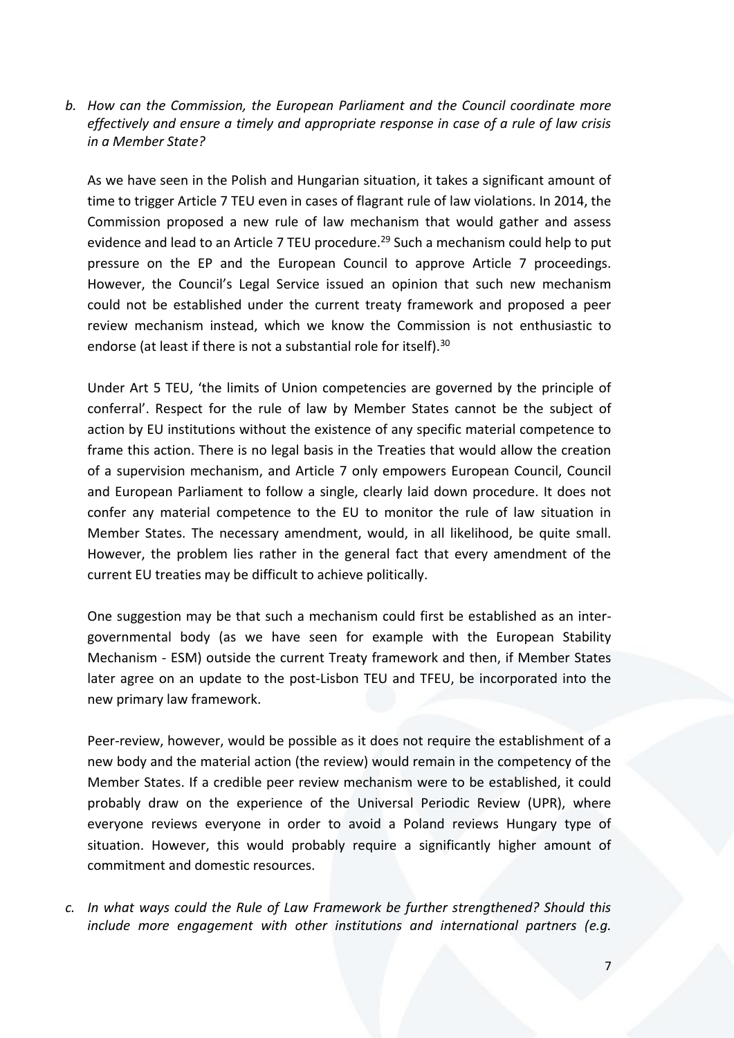*b. How can the Commission, the European Parliament and the Council coordinate more effectively and ensure a timely and appropriate response in case of a rule of law crisis in a Member State?* 

As we have seen in the Polish and Hungarian situation, it takes a significant amount of time to trigger Article 7 TEU even in cases of flagrant rule of law violations. In 2014, the Commission proposed a new rule of law mechanism that would gather and assess evidence and lead to an Article 7 TEU procedure.<sup>29</sup> Such a mechanism could help to put pressure on the EP and the European Council to approve Article 7 proceedings. However, the Council's Legal Service issued an opinion that such new mechanism could not be established under the current treaty framework and proposed a peer review mechanism instead, which we know the Commission is not enthusiastic to endorse (at least if there is not a substantial role for itself).<sup>30</sup>

Under Art 5 TEU, 'the limits of Union competencies are governed by the principle of conferral'. Respect for the rule of law by Member States cannot be the subject of action by EU institutions without the existence of any specific material competence to frame this action. There is no legal basis in the Treaties that would allow the creation of a supervision mechanism, and Article 7 only empowers European Council, Council and European Parliament to follow a single, clearly laid down procedure. It does not confer any material competence to the EU to monitor the rule of law situation in Member States. The necessary amendment, would, in all likelihood, be quite small. However, the problem lies rather in the general fact that every amendment of the current EU treaties may be difficult to achieve politically.

One suggestion may be that such a mechanism could first be established as an intergovernmental body (as we have seen for example with the European Stability Mechanism - ESM) outside the current Treaty framework and then, if Member States later agree on an update to the post-Lisbon TEU and TFEU, be incorporated into the new primary law framework.

Peer-review, however, would be possible as it does not require the establishment of a new body and the material action (the review) would remain in the competency of the Member States. If a credible peer review mechanism were to be established, it could probably draw on the experience of the Universal Periodic Review (UPR), where everyone reviews everyone in order to avoid a Poland reviews Hungary type of situation. However, this would probably require a significantly higher amount of commitment and domestic resources.

*c. In what ways could the Rule of Law Framework be further strengthened? Should this include more engagement with other institutions and international partners (e.g.*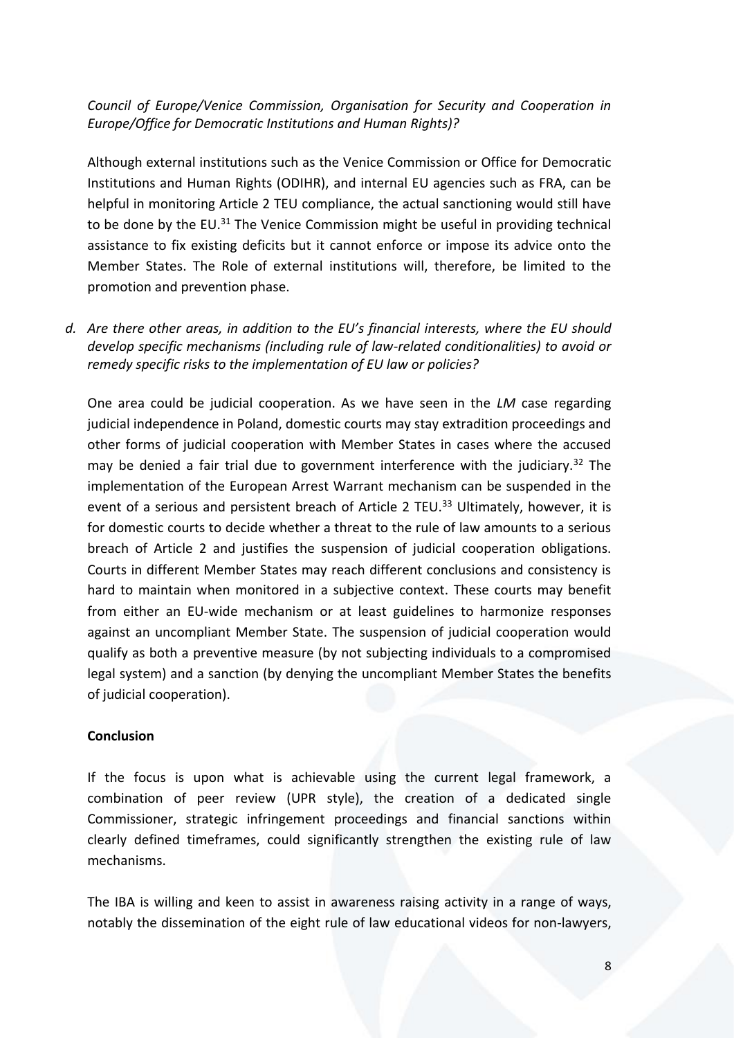# *Council of Europe/Venice Commission, Organisation for Security and Cooperation in Europe/Office for Democratic Institutions and Human Rights)?*

Although external institutions such as the Venice Commission or Office for Democratic Institutions and Human Rights (ODIHR), and internal EU agencies such as FRA, can be helpful in monitoring Article 2 TEU compliance, the actual sanctioning would still have to be done by the EU.<sup>31</sup> The Venice Commission might be useful in providing technical assistance to fix existing deficits but it cannot enforce or impose its advice onto the Member States. The Role of external institutions will, therefore, be limited to the promotion and prevention phase.

*d. Are there other areas, in addition to the EU's financial interests, where the EU should develop specific mechanisms (including rule of law-related conditionalities) to avoid or remedy specific risks to the implementation of EU law or policies?* 

One area could be judicial cooperation. As we have seen in the *LM* case regarding judicial independence in Poland, domestic courts may stay extradition proceedings and other forms of judicial cooperation with Member States in cases where the accused may be denied a fair trial due to government interference with the judiciary.<sup>32</sup> The implementation of the European Arrest Warrant mechanism can be suspended in the event of a serious and persistent breach of Article 2 TEU.<sup>33</sup> Ultimately, however, it is for domestic courts to decide whether a threat to the rule of law amounts to a serious breach of Article 2 and justifies the suspension of judicial cooperation obligations. Courts in different Member States may reach different conclusions and consistency is hard to maintain when monitored in a subjective context. These courts may benefit from either an EU-wide mechanism or at least guidelines to harmonize responses against an uncompliant Member State. The suspension of judicial cooperation would qualify as both a preventive measure (by not subjecting individuals to a compromised legal system) and a sanction (by denying the uncompliant Member States the benefits of judicial cooperation).

## **Conclusion**

If the focus is upon what is achievable using the current legal framework, a combination of peer review (UPR style), the creation of a dedicated single Commissioner, strategic infringement proceedings and financial sanctions within clearly defined timeframes, could significantly strengthen the existing rule of law mechanisms.

The IBA is willing and keen to assist in awareness raising activity in a range of ways, notably the dissemination of the eight rule of law educational videos for non-lawyers,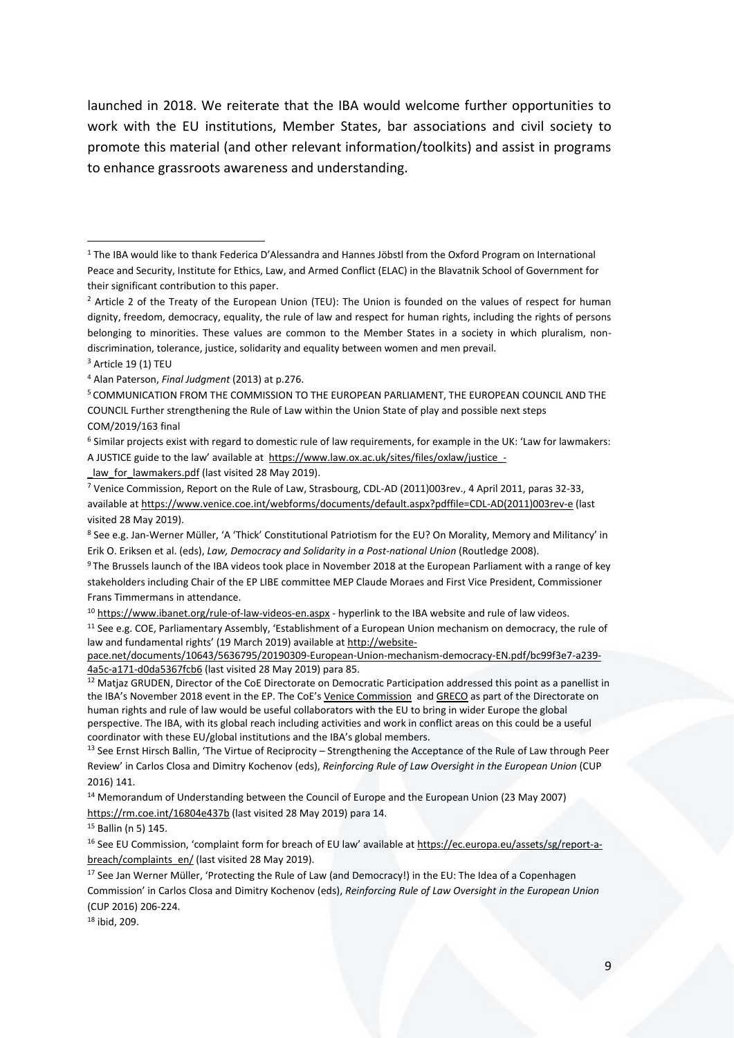launched in 2018. We reiterate that the IBA would welcome further opportunities to work with the EU institutions, Member States, bar associations and civil society to promote this material (and other relevant information/toolkits) and assist in programs to enhance grassroots awareness and understanding.

1

<sup>11</sup> See e.g. COE, Parliamentary Assembly, 'Establishment of a European Union mechanism on democracy, the rule of law and fundamental rights' (19 March 2019) available at [http://website-](http://website-pace.net/documents/10643/5636795/20190309-European-Union-mechanism-democracy-EN.pdf/bc99f3e7-a239-4a5c-a171-d0da5367fcb6)

[pace.net/documents/10643/5636795/20190309-European-Union-mechanism-democracy-EN.pdf/bc99f3e7-a239-](http://website-pace.net/documents/10643/5636795/20190309-European-Union-mechanism-democracy-EN.pdf/bc99f3e7-a239-4a5c-a171-d0da5367fcb6) [4a5c-a171-d0da5367fcb6](http://website-pace.net/documents/10643/5636795/20190309-European-Union-mechanism-democracy-EN.pdf/bc99f3e7-a239-4a5c-a171-d0da5367fcb6) (last visited 28 May 2019) para 85.

<sup>12</sup> Matjaz GRUDEN, Director of the CoE Directorate on Democratic Participation addressed this point as a panellist in the IBA's November 2018 event in the EP. The CoE's [Venice Commission](https://en.wikipedia.org/wiki/Venice_Commission) an[d GRECO](https://en.wikipedia.org/wiki/Group_of_States_Against_Corruption) as part of the Directorate on human rights and rule of law would be useful collaborators with the EU to bring in wider Europe the global perspective. The IBA, with its global reach including activities and work in conflict areas on this could be a useful coordinator with these EU/global institutions and the IBA's global members.

<sup>13</sup> See Ernst Hirsch Ballin, 'The Virtue of Reciprocity – Strengthening the Acceptance of the Rule of Law through Peer Review' in Carlos Closa and Dimitry Kochenov (eds), *Reinforcing Rule of Law Oversight in the European Union* (CUP 2016) 141.

<sup>14</sup> Memorandum of Understanding between the Council of Europe and the European Union (23 May 2007) <https://rm.coe.int/16804e437b> (last visited 28 May 2019) para 14.

<sup>15</sup> Ballin (n 5) 145.

<sup>16</sup> See EU Commission, 'complaint form for breach of EU law' available at [https://ec.europa.eu/assets/sg/report-a](https://ec.europa.eu/assets/sg/report-a-breach/complaints_en/)[breach/complaints\\_en/](https://ec.europa.eu/assets/sg/report-a-breach/complaints_en/) (last visited 28 May 2019).

<sup>17</sup> See Jan Werner Müller, 'Protecting the Rule of Law (and Democracy!) in the EU: The Idea of a Copenhagen Commission' in Carlos Closa and Dimitry Kochenov (eds), *Reinforcing Rule of Law Oversight in the European Union* (CUP 2016) 206-224.

<sup>18</sup> ibid, 209.

<sup>1</sup> The IBA would like to thank Federica D'Alessandra and Hannes Jöbstl from the Oxford Program on International Peace and Security, Institute for Ethics, Law, and Armed Conflict (ELAC) in the Blavatnik School of Government for their significant contribution to this paper.

<sup>&</sup>lt;sup>2</sup> Article 2 of the Treaty of the European Union (TEU): The Union is founded on the values of respect for human dignity, freedom, democracy, equality, the rule of law and respect for human rights, including the rights of persons belonging to minorities. These values are common to the Member States in a society in which pluralism, nondiscrimination, tolerance, justice, solidarity and equality between women and men prevail.

<sup>&</sup>lt;sup>3</sup> Article 19 (1) TEU

<sup>4</sup> Alan Paterson, *Final Judgment* (2013) at p.276.

<sup>5</sup> COMMUNICATION FROM THE COMMISSION TO THE EUROPEAN PARLIAMENT, THE EUROPEAN COUNCIL AND THE COUNCIL Further strengthening the Rule of Law within the Union State of play and possible next steps COM/2019/163 final

<sup>6</sup> Similar projects exist with regard to domestic rule of law requirements, for example in the UK: 'Law for lawmakers: A JUSTICE guide to the law' available at [https://www.law.ox.ac.uk/sites/files/oxlaw/justice\\_-](https://www.law.ox.ac.uk/sites/files/oxlaw/justice_-_law_for_lawmakers.pdf)

law for lawmakers.pdf (last visited 28 May 2019).

<sup>7</sup> Venice Commission, Report on the Rule of Law, Strasbourg, CDL-AD (2011)003rev., 4 April 2011, paras 32-33, available a[t https://www.venice.coe.int/webforms/documents/default.aspx?pdffile=CDL-AD\(2011\)003rev-e](https://www.venice.coe.int/webforms/documents/default.aspx?pdffile=CDL-AD(2011)003rev-e) (last visited 28 May 2019).

<sup>8</sup> See e.g. Jan-Werner Müller, 'A 'Thick' Constitutional Patriotism for the EU? On Morality, Memory and Militancy' in Erik O. Eriksen et al. (eds), *Law, Democracy and Solidarity in a Post-national Union* (Routledge 2008).

<sup>9</sup> The Brussels launch of the IBA videos took place in November 2018 at the European Parliament with a range of key stakeholders including Chair of the EP LIBE committee MEP Claude Moraes and First Vice President, Commissioner Frans Timmermans in attendance.

<sup>10</sup> <https://www.ibanet.org/rule-of-law-videos-en.aspx> - hyperlink to the IBA website and rule of law videos.